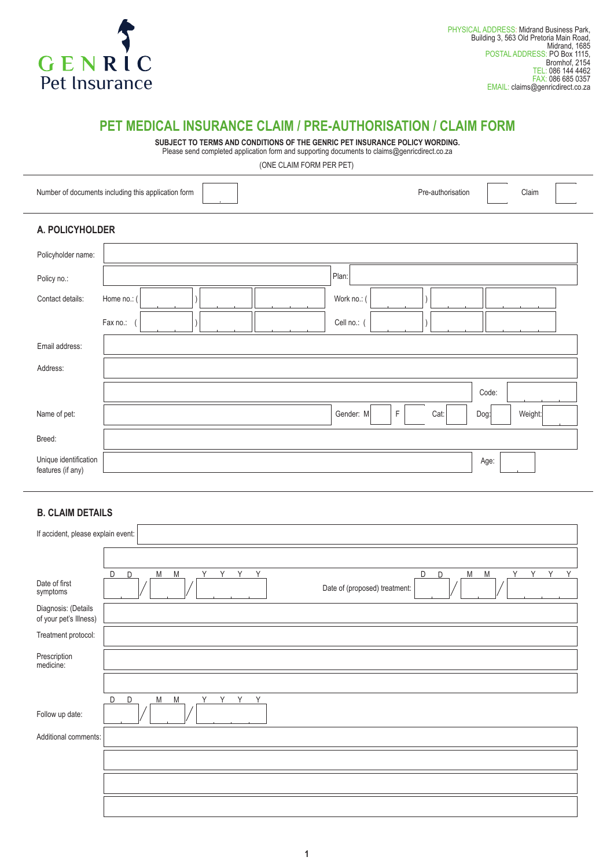

## **PET MEDICAL INSURANCE CLAIM / PRE-AUTHORISATION / CLAIM FORM**

**SUBJECT TO TERMS AND CONDITIONS OF THE GENRIC PET INSURANCE POLICY WORDING.** Please send completed application form and supporting documents to claims@genricdirect.co.za

(ONE CLAIM FORM PER PET)

|                                            | Number of documents including this application form | Pre-authorisation | Claim   |
|--------------------------------------------|-----------------------------------------------------|-------------------|---------|
| A. POLICYHOLDER                            |                                                     |                   |         |
| Policyholder name:                         |                                                     |                   |         |
| Policy no.:                                | Plan:                                               |                   |         |
| Contact details:                           | Work no.: (<br>Home no.: (                          |                   |         |
|                                            | Fax no.:<br>Cell no.: (                             |                   |         |
| Email address:                             |                                                     |                   |         |
| Address:                                   |                                                     |                   |         |
|                                            |                                                     | Code:             |         |
| Name of pet:                               | Gender: M                                           | F<br>Cat:<br>Dog: | Weight: |
| Breed:                                     |                                                     |                   |         |
| Unique identification<br>features (if any) |                                                     | Age:              |         |

## **B. CLAIM DETAILS**

| If accident, please explain event:            |                                                                              |  |  |  |  |
|-----------------------------------------------|------------------------------------------------------------------------------|--|--|--|--|
|                                               |                                                                              |  |  |  |  |
|                                               | D<br>D<br>D<br>M<br>M<br>Y<br>Y<br>Y<br>Y<br>D<br>M<br>M<br>Y<br>Y<br>Y<br>Y |  |  |  |  |
| Date of first<br>symptoms                     | Date of (proposed) treatment:                                                |  |  |  |  |
| Diagnosis: (Details<br>of your pet's Illness) |                                                                              |  |  |  |  |
| Treatment protocol:                           |                                                                              |  |  |  |  |
| Prescription<br>medicine:                     |                                                                              |  |  |  |  |
|                                               |                                                                              |  |  |  |  |
|                                               | D<br>M<br>M<br>D<br>Y Y Y Y                                                  |  |  |  |  |
| Follow up date:                               |                                                                              |  |  |  |  |
| Additional comments:                          |                                                                              |  |  |  |  |
|                                               |                                                                              |  |  |  |  |
|                                               |                                                                              |  |  |  |  |
|                                               |                                                                              |  |  |  |  |